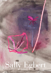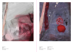



Tryptic 2/3 2015 Mixed media on canvas  $30 \times 24$  inches

Tryptic 3/3 (Cover) 2015 Mixed media on canvas  $30 \times 24$  inches

Tryptic 1/3 2015 Mixed media on canvas  $30 \times 24$  inches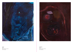



#### Red Roses

2015 Mixed media on canvas  $60 \times 48$  inches

Alaska 2014 Mixed media on canvas  $60 \times 48$  inches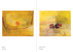



One Flower 2015 Oil on canvas  $20 \times 24$  inches

### Three Yellow Flowers

2015 Oil on canvas  $20 \times 24$  inches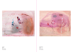



#### Pink Flowers

2015 Oil on canvas  $20 \times 24$  inches

Lupines 2015 Oil on canvas  $22 \times 28$  inches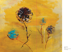

Four Flowers 2015 Acrylic and oil on canvas  $20 \times 24$  inches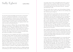# Sally Egbert by Glenn O'Brien

Art movements appeared gradually and at first they seemed mostly retroactive. Art historians decided that a certain artists shared the same philosophical or technical concerns and declared them a group. It was only with the arrival of modernism that self-conscious art movements arrived and they became somewhat club-like and sometimes militant, spouting manifestos and engaging in battles with other movements and among themselves.

Today art movements are different. They aren't pals drinking, talking philosophy and technique, and fist fighting for ideas. Artists are loners now. Their peers are competitors. Movements still exist of course, but more as marketing tools than as like minded action committees. Movements don't meet. They don't even like each other, but they are convenient. They make the big wheels seem more groundbreaking, they make the rut followers seem onto something.

Art movements are seen as temporary more than ever, at least in their active phase, and this reinforces the idea of progress that had haunted art over the last century or so. A movement was perceived as breaking out because of a few great innovators, a school formed around them, they were hailed as the of the next thing, then an a band of imitators appeared seeming to dilute the breakthroughs of the innovators, and then the inevitable break up, as the next art movements between to gather force, like tropical storms on the radar of the 6pm weather – will it hit hurricane force, will it be a movement, will it be Katrina, will it be a Pop Art, or will it be a major tropical storm like Neo Geo?

I guess we can't do without movements. They are a valuable marketing tool and they give work to curators and art historians, but they aren't necessarily a boon to artists, who might be better off as a solo act, without being tied to a company of players they may actually have little in common with. But as long as the shock of the new is a factor in calculating importance the movements will stick – sometimes with unfortunate results.

The worst result is that art acquires some of the bad habits of fashion, a terrible fate for artists, and even for collectors who would hope that their collections possess longevity.

I believe that the great art movements, the real art movements, those with profound roots in philosophy don't die, they just get called something else. Fauvism, Dada, Surrealism, Pop Art, Conceptual Art and Abstract Expressionism are all still going strong. Surrealism, Pop and Abstract Expressionism are still incredibly vital, but nobody dares to admit adhering to a movement older than their grandpa. When I look at Sally Egbert's work I can't help but feel that it is a beautiful and original manifestation of abstract expressionism. And why not? Has our collective sensorium evolved radically in the last half century. Do we see differently? Have our instincts evolved since *Meet the Beatles*? Was everything non-objective said and done before most of us were born?

Nope. Absolutely nothing has happened to diminish the power of the best of the first few generations of Abstract Expressionists. The ranks of those practicing this manner of art have certainly thinned, because, of course, abstraction is not new and it doesn't lend itself to explication and the Jackson Pollack Willem de Kooning scene does seem remote and almost quaintly innocent.

It's far easier to sell something that appeals to very current ideas about art that seem to scurry around the floors of the art fairs chasing relevance. But I have to admit that over the last few years, after a full day walking through Art Basel Miami, I have come away thinking, "What did I like the best today." Two years running it was early Alfred Leslie, and then Joan Mitchell, who remains for me one of the great powerhouses of painting. It's not that I'm nostalgic for the fifties, my pre-school years. I believe that it is simply a matter of painting that can be experienced directly, without explanation or defense, painting that moves the emotions without outside intervention.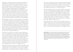Sally Egbert would have fit right in with the Elaine de Kooning/ Frank O'Hara, set. When I first visited her studio it was in the Hamptons and I could have easily imagined this lively, twinkly-eyed woman in flip flops and a casual housedress, with paint on her fingers and toes, to have just come from having a couple of beers with Norman Bluhm, Michael Goldberg and Fairfield Porter. There's nothing retro or old fashioned about Sally Egbert, but there is something old school. She belongs to a universe of artists who live to work, who live in their work. That was the way of the art world once, but of course it still is if you snoop around the network of artist's artists. I think some ghosts of abstract expressionists haunt the dunes and the back roads of the Springs to this day, trying to ignore the obnoxious billionaire crowd that is the new potato blight.

But oddly Egbert and many other abstract painters are not banished to the outerlands. Abstract art is not at the center of the new art, but it is persistent, surprisingly powerful and almost troublingly relevant because of its seeming immunity to the trendiness and fashionability that plague market-driven contemporary art. There is still art that lives outside the institutional zeitgeist. Egbert, like many abstract painters, paints from a personal vision that operates outside the time frames of movements and criticism. Her work isn't retro, it is simply ahistorical and independent. It is what it is, people say today. Little do they know they're quoting Fairfield Porter.

Of all the art movements in recent times, Abstract Expressionism has a unique relationship to history. It places itself outside of history. Abstract art eliminated representation and the object, both of which are key elements in history. In a 1959 manifesto titled *The Psychology of Non-History in Relation to Abstract Art*, the Abex sculptor Philip Pavia wrote "the representational artist and the historian share the same psychological sense-pattern of preferring the ideational experience to the direct experience. The abstract artist, relying only upon direct experience, can discern the negative side of history as one would glimpse the other side of a coin flipped in the air."

Sally Egbert's paintings remind me a bit of Helen Frankenthaler in the ephemeral softness of the color fields she constructs. Her atmospheres are fluid, washes of strong color that seem to respond to invisible influences.They are not immediate strokes but residues and soaks and

stains that evoke the passage of time, an almost naturalistic feeling of flow and an accumulation of happy accident. They also create depths that are familiar, and sometimes a sense that we are moving into those depths; these constructs of imagination don't seem to conform to our shared experience but to a sort of dream physics.

Her flower paintings mix these exotic color atmospheres with a feeling of recent action, flowerlike fractured glyphs seem to have collided, fractured, or magnetically merged. Egbert's fields seem be drifts of midnight fog refracting neon, with headlights or taillight proving movement, or perhaps the abraded walls of Lascaux primed with dyes for ritual images, the foregrounds are given to hard and fast colors colliding and fracturing, or perhaps the opposite, re-assembling forms from a primal memory. As the rearview mirror says rather art historically, "Objects may appear closer..."

These magical tableaux conjure dream states outside of experience and history; they seem to evoke not what has happened, but what will happen – a balance between a state that we have experienced and one that we are moving toward with the attraction of sublime unknowns. There are no histories here, just glimpses of a coin flipped in the air.

Glenn O'Brien is a writer and creative director based in New York City. He is a regular contributor to *ArtForum*. His recent books include the best sellers How To BE a Man: A Guide To Style and Behavior For The Modern Gentleman" "(Rizzoli) and "The Cool School: Writing From America's Hip Underground" (Library of America). O'Brien is currently hosting a talk show on Apple TV's M2M network and working on a book about the changes in the art world over the last 50 years.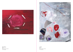



#### Landline 2011 Mixed media on canvas  $77 \times 60$  inches

White Ribbon 2014 Mixed media on canvas  $16 \times 20$  inches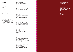#### Sally Egbert

Education 1977-1981

State University of New York at New Paltz Bachelor of Science in Visual Arts, Emphasis in Painting

#### Collections

Alex Katz Foundation Hewitt Price Waterhouse Cooper Progressive Insurance Tucson Museum of Art, Tucson AZ

#### Awards

2012, Pollock- Krasner Foundation 2012, Elizabeth Foundation for the Arts 2009, Gottlieb Foundation 2003, Elizabeth Foundation for the Arts 2000, Pollock-Krasner Foundation 1998, Elizabeth Foundation for the Arts 1996, Elizabeth Foundation for the Arts 1994, New York Foundation for the Arts 1992, New York State Council on the Arts

#### Selected Solo Exhibitions

2015, *Places to Be*, Goya Contemporary, Baltimore, MD 2007, Salomon Contemporary, East Hampton, NY 2005, *Sally Egbert*: *New Works*, Goya Contemporary, Baltimore, MD 2004, Kenise Barnes Fine Art, Larchmont, NY 2004, Goya Contemporary, Baltimore, MD

#### Selected Group Exhibitions

2015, *Art Am 3*, Galleria Spazio Soncino, Soncino, Italy 2014, *Material Matters*, Goya Contemporary, Baltimore, MD 2013, *Silent Partner*, Imogen Holloway Gallery, Saugerties, NY 2013, *Open Studios 2013*, The Elizabeth Foundation for the Arts, New York, NY 2013, *The Big Show*, Silas Marder Gallery, Bridgehampton, NY 2012, *EFA Open Studios*, EFA Studios, New York, NY 2011, Halsey McKay Gallery, Easthampton, NY 2011, Galleri Spazio Soncino, Soncino, Italy 2011, *Chromesethia*, Tribeca Project Space, New York, NY 2011, *Baby It's Cold Outside*, Kenise Barnes Fine Art Larchmont, NY 2010, *Women*, Silas Marder Gallery, Bridgehampton, NY 2010, *Plank Road*, Salomon Contemporary, New York, NY 2010, *As You Like It*, Heidi Cho Gallery, New York, NY 2008, Spanierman Gallery, Easy Hampton, NY 2007, *East and Artist*, *Past and Present*, Telfair Museum of Art, Savannah, GA 2007, *An Electric Eye*; *Selections from the Dan Leach Collection*, Tucson Museum of Art, Tucson, AZ 2007, *Edsel Williams Curates*, The Fireplace Project, East Hampton, NY 2007, *Women and Abstraction*: *Then and Now*, Spanierman Gallery, New York, NY 2006, *The Big Show*, Silas Marder Gallery, East Hampton NY 2006, Salomon Contemporary, East Hampton NY 2006, *Spaces in Between*, Silas Marder Gallery, Bridgehampton NY 2004, Lizan Tops, East Hampton, NY 2003, Goya Contemporary, Baltimore, MD 2001, Anita Friedman Fine Art, New York, NY

This catalogue was published by Goya Contemporary on the occasion of the exhibition: Sally Egbert: *Places to Be*

#### © 2015

Goya Contemporary All rights reserved. No part of this publication may be used or reproduced in any manner whatsoever without written permission from the copyright holder.

isbn 978-1-4951-7874-0